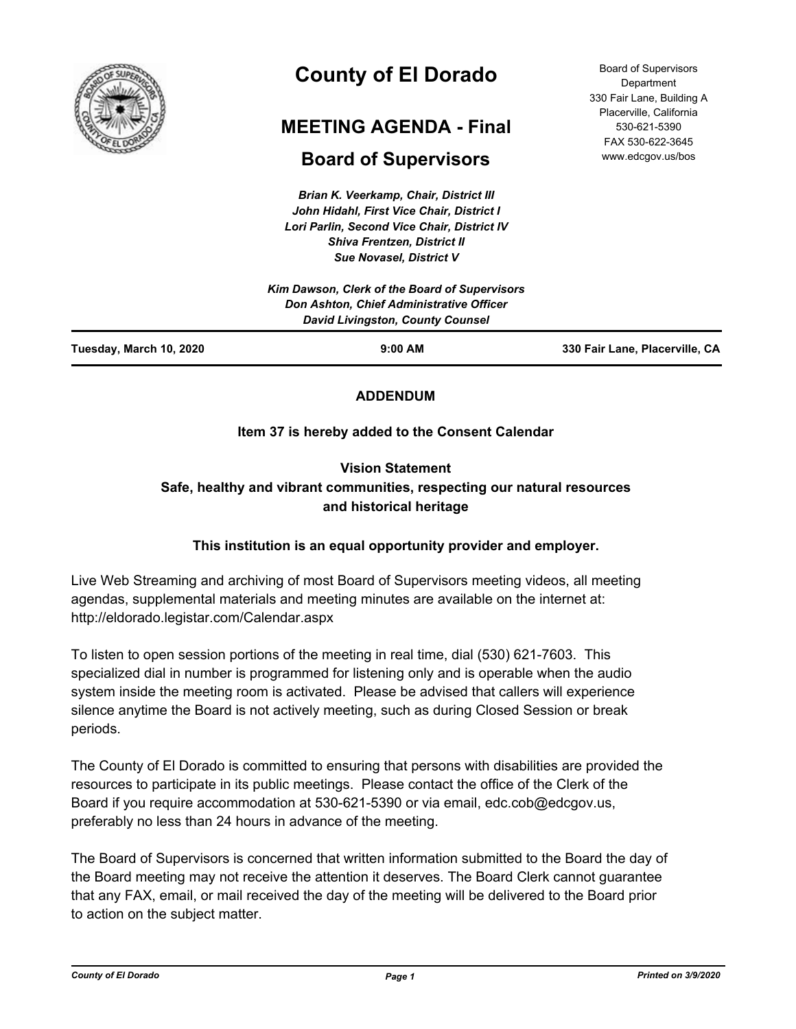

# **County of El Dorado**

# **MEETING AGENDA - Final**

## **Board of Supervisors**

*Brian K. Veerkamp, Chair, District III John Hidahl, First Vice Chair, District I Lori Parlin, Second Vice Chair, District IV Shiva Frentzen, District II Sue Novasel, District V*

Board of Supervisors Department 330 Fair Lane, Building A Placerville, California 530-621-5390 FAX 530-622-3645 www.edcgov.us/bos

| Tuesday, March 10, 2020                  | $9:00$ AM                                     | 330 Fair Lane, Placerville, CA |
|------------------------------------------|-----------------------------------------------|--------------------------------|
|                                          | <b>David Livingston, County Counsel</b>       |                                |
| Don Ashton, Chief Administrative Officer |                                               |                                |
|                                          | Kim Dawson, Clerk of the Board of Supervisors |                                |

## **ADDENDUM**

## **Item 37 is hereby added to the Consent Calendar**

**Vision Statement**

## **Safe, healthy and vibrant communities, respecting our natural resources and historical heritage**

## **This institution is an equal opportunity provider and employer.**

Live Web Streaming and archiving of most Board of Supervisors meeting videos, all meeting agendas, supplemental materials and meeting minutes are available on the internet at: http://eldorado.legistar.com/Calendar.aspx

To listen to open session portions of the meeting in real time, dial (530) 621-7603. This specialized dial in number is programmed for listening only and is operable when the audio system inside the meeting room is activated. Please be advised that callers will experience silence anytime the Board is not actively meeting, such as during Closed Session or break periods.

The County of El Dorado is committed to ensuring that persons with disabilities are provided the resources to participate in its public meetings. Please contact the office of the Clerk of the Board if you require accommodation at 530-621-5390 or via email, edc.cob@edcgov.us, preferably no less than 24 hours in advance of the meeting.

The Board of Supervisors is concerned that written information submitted to the Board the day of the Board meeting may not receive the attention it deserves. The Board Clerk cannot guarantee that any FAX, email, or mail received the day of the meeting will be delivered to the Board prior to action on the subject matter.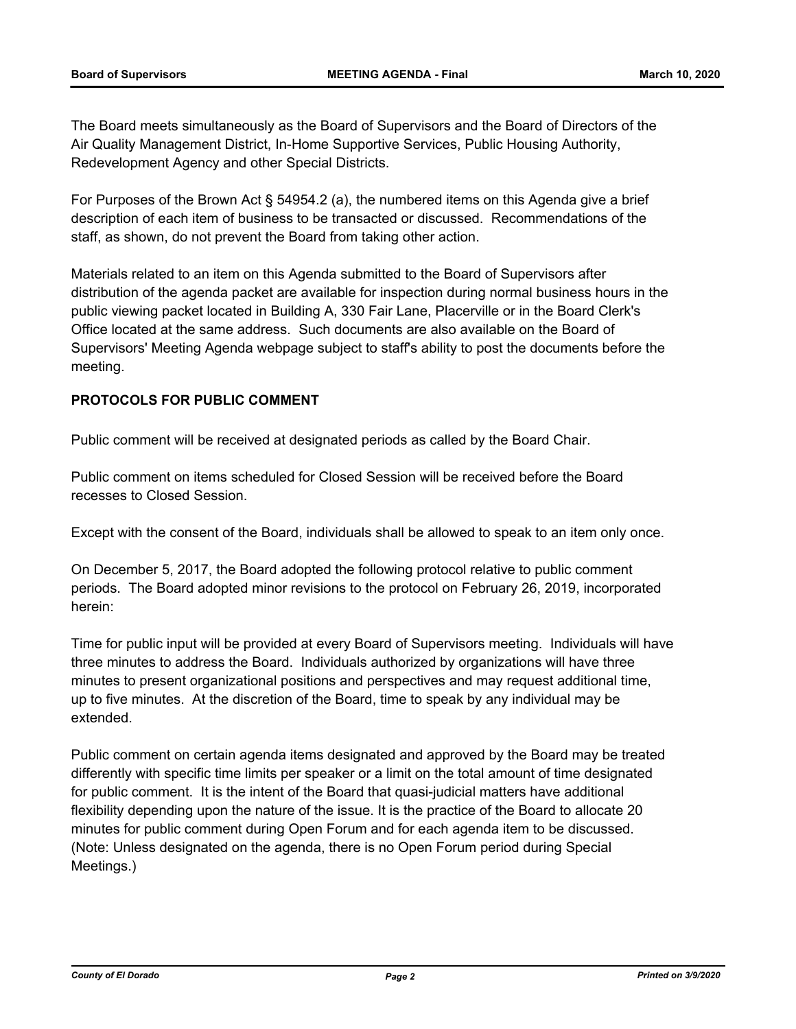The Board meets simultaneously as the Board of Supervisors and the Board of Directors of the Air Quality Management District, In-Home Supportive Services, Public Housing Authority, Redevelopment Agency and other Special Districts.

For Purposes of the Brown Act § 54954.2 (a), the numbered items on this Agenda give a brief description of each item of business to be transacted or discussed. Recommendations of the staff, as shown, do not prevent the Board from taking other action.

Materials related to an item on this Agenda submitted to the Board of Supervisors after distribution of the agenda packet are available for inspection during normal business hours in the public viewing packet located in Building A, 330 Fair Lane, Placerville or in the Board Clerk's Office located at the same address. Such documents are also available on the Board of Supervisors' Meeting Agenda webpage subject to staff's ability to post the documents before the meeting.

### **PROTOCOLS FOR PUBLIC COMMENT**

Public comment will be received at designated periods as called by the Board Chair.

Public comment on items scheduled for Closed Session will be received before the Board recesses to Closed Session.

Except with the consent of the Board, individuals shall be allowed to speak to an item only once.

On December 5, 2017, the Board adopted the following protocol relative to public comment periods. The Board adopted minor revisions to the protocol on February 26, 2019, incorporated herein:

Time for public input will be provided at every Board of Supervisors meeting. Individuals will have three minutes to address the Board. Individuals authorized by organizations will have three minutes to present organizational positions and perspectives and may request additional time, up to five minutes. At the discretion of the Board, time to speak by any individual may be extended.

Public comment on certain agenda items designated and approved by the Board may be treated differently with specific time limits per speaker or a limit on the total amount of time designated for public comment. It is the intent of the Board that quasi-judicial matters have additional flexibility depending upon the nature of the issue. It is the practice of the Board to allocate 20 minutes for public comment during Open Forum and for each agenda item to be discussed. (Note: Unless designated on the agenda, there is no Open Forum period during Special Meetings.)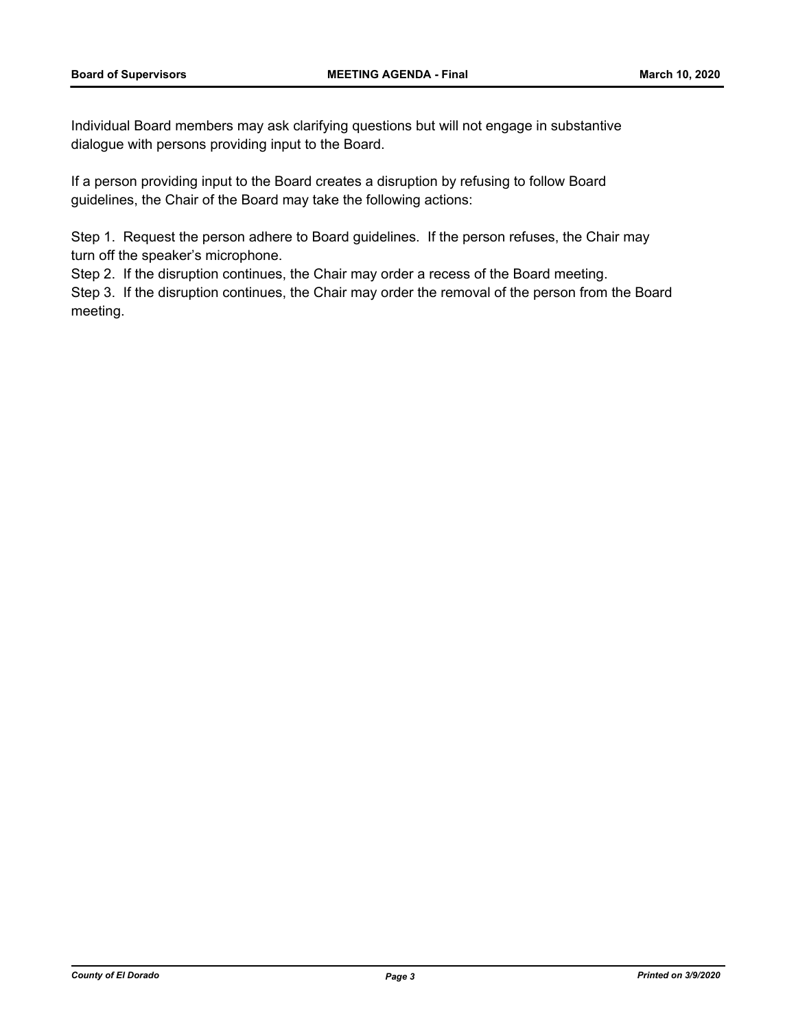Individual Board members may ask clarifying questions but will not engage in substantive dialogue with persons providing input to the Board.

If a person providing input to the Board creates a disruption by refusing to follow Board guidelines, the Chair of the Board may take the following actions:

Step 1. Request the person adhere to Board guidelines. If the person refuses, the Chair may turn off the speaker's microphone.

Step 2. If the disruption continues, the Chair may order a recess of the Board meeting.

Step 3. If the disruption continues, the Chair may order the removal of the person from the Board meeting.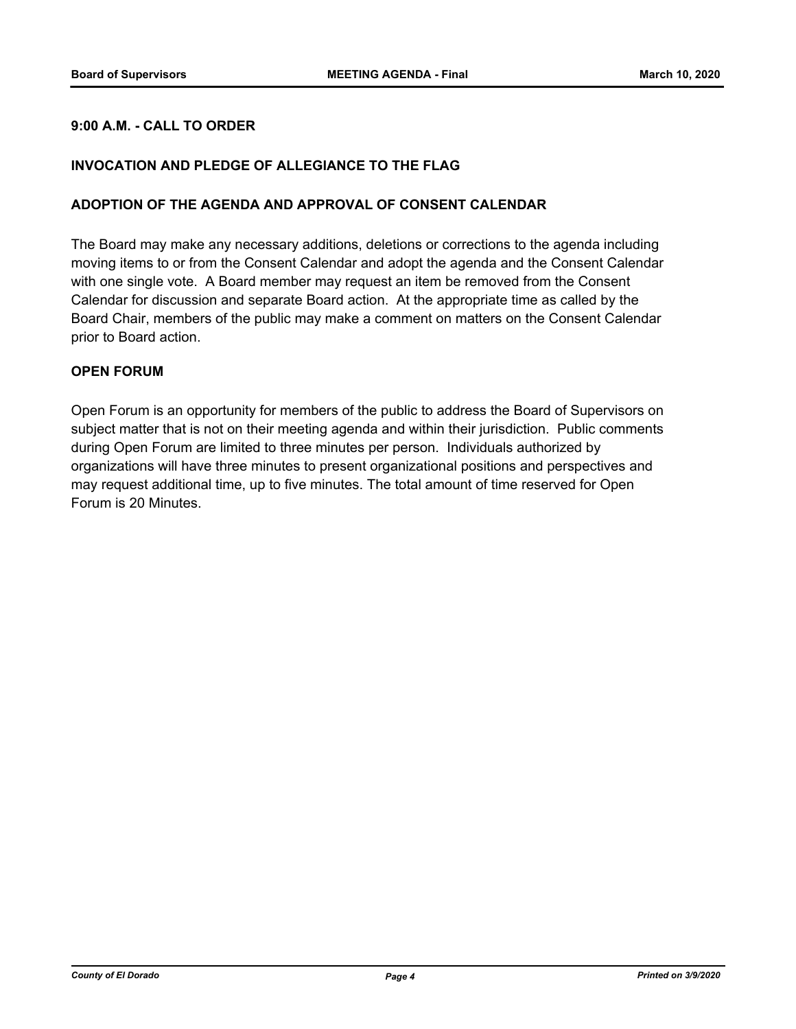#### **9:00 A.M. - CALL TO ORDER**

#### **INVOCATION AND PLEDGE OF ALLEGIANCE TO THE FLAG**

#### **ADOPTION OF THE AGENDA AND APPROVAL OF CONSENT CALENDAR**

The Board may make any necessary additions, deletions or corrections to the agenda including moving items to or from the Consent Calendar and adopt the agenda and the Consent Calendar with one single vote. A Board member may request an item be removed from the Consent Calendar for discussion and separate Board action. At the appropriate time as called by the Board Chair, members of the public may make a comment on matters on the Consent Calendar prior to Board action.

#### **OPEN FORUM**

Open Forum is an opportunity for members of the public to address the Board of Supervisors on subject matter that is not on their meeting agenda and within their jurisdiction. Public comments during Open Forum are limited to three minutes per person. Individuals authorized by organizations will have three minutes to present organizational positions and perspectives and may request additional time, up to five minutes. The total amount of time reserved for Open Forum is 20 Minutes.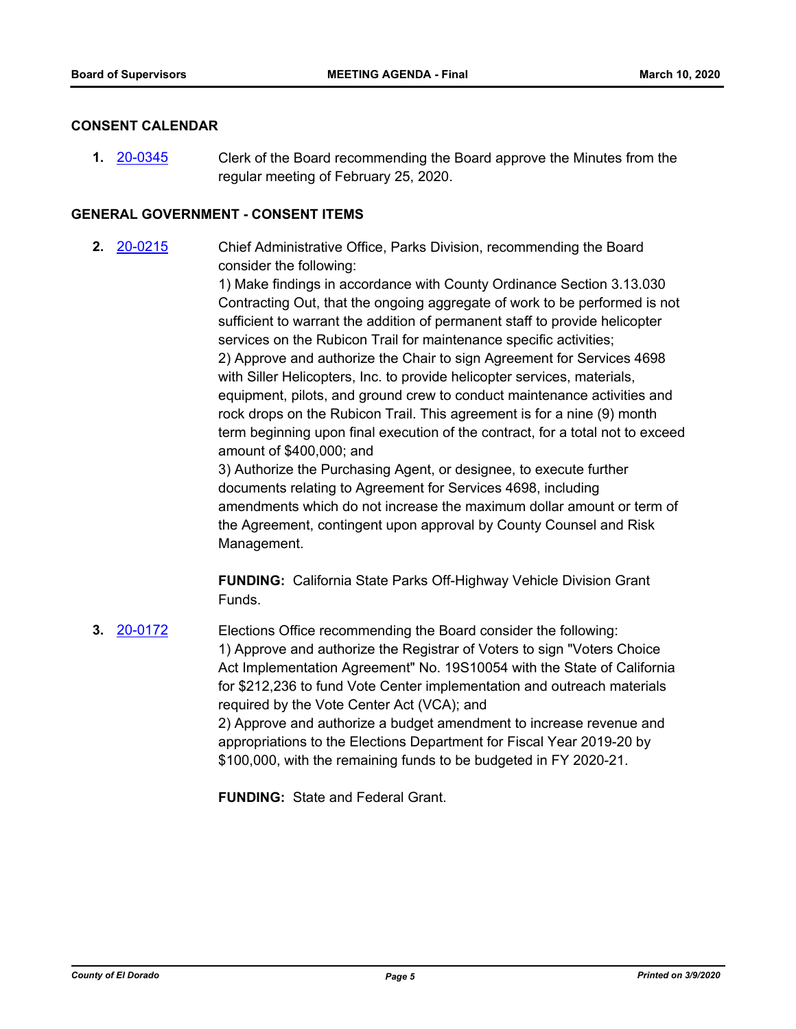#### **CONSENT CALENDAR**

**1.** [20-0345](http://eldorado.legistar.com/gateway.aspx?m=l&id=/matter.aspx?key=27550) Clerk of the Board recommending the Board approve the Minutes from the regular meeting of February 25, 2020.

#### **GENERAL GOVERNMENT - CONSENT ITEMS**

**2.** [20-0215](http://eldorado.legistar.com/gateway.aspx?m=l&id=/matter.aspx?key=27420) Chief Administrative Office, Parks Division, recommending the Board consider the following:

> 1) Make findings in accordance with County Ordinance Section 3.13.030 Contracting Out, that the ongoing aggregate of work to be performed is not sufficient to warrant the addition of permanent staff to provide helicopter services on the Rubicon Trail for maintenance specific activities; 2) Approve and authorize the Chair to sign Agreement for Services 4698 with Siller Helicopters, Inc. to provide helicopter services, materials, equipment, pilots, and ground crew to conduct maintenance activities and rock drops on the Rubicon Trail. This agreement is for a nine (9) month term beginning upon final execution of the contract, for a total not to exceed amount of \$400,000; and

3) Authorize the Purchasing Agent, or designee, to execute further documents relating to Agreement for Services 4698, including amendments which do not increase the maximum dollar amount or term of the Agreement, contingent upon approval by County Counsel and Risk Management.

**FUNDING:** California State Parks Off-Highway Vehicle Division Grant Funds.

**3.** [20-0172](http://eldorado.legistar.com/gateway.aspx?m=l&id=/matter.aspx?key=27377) Elections Office recommending the Board consider the following: 1) Approve and authorize the Registrar of Voters to sign "Voters Choice Act Implementation Agreement" No. 19S10054 with the State of California for \$212,236 to fund Vote Center implementation and outreach materials required by the Vote Center Act (VCA); and 2) Approve and authorize a budget amendment to increase revenue and appropriations to the Elections Department for Fiscal Year 2019-20 by \$100,000, with the remaining funds to be budgeted in FY 2020-21.

**FUNDING:** State and Federal Grant.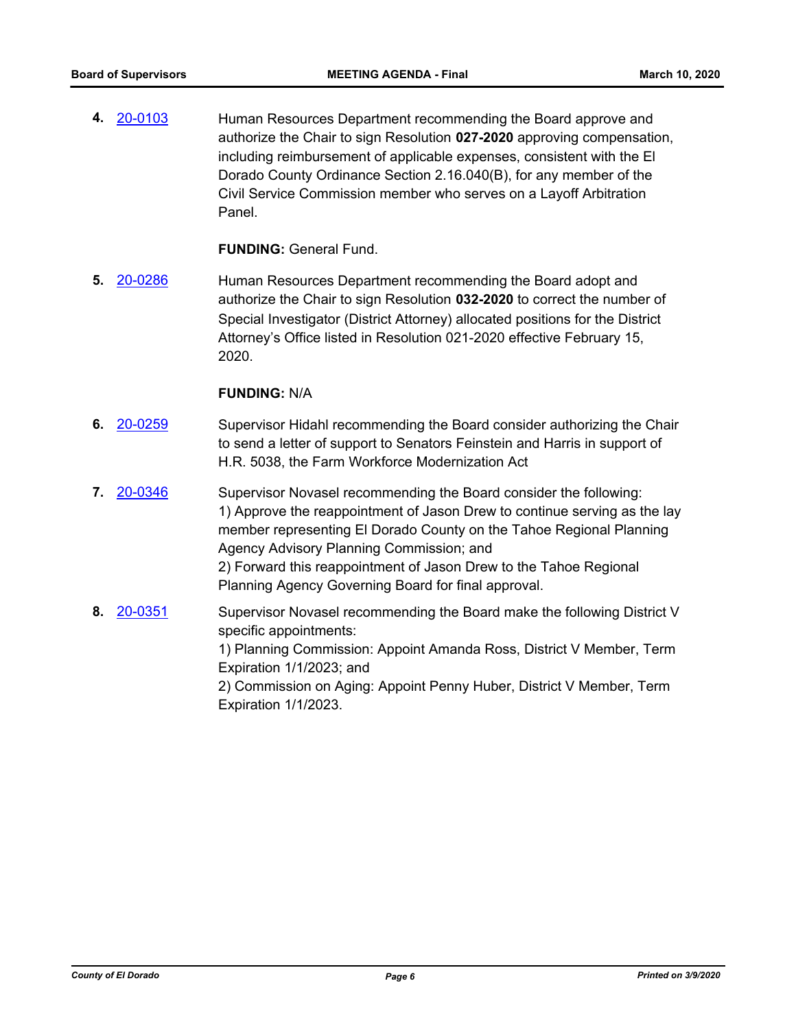**4.** [20-0103](http://eldorado.legistar.com/gateway.aspx?m=l&id=/matter.aspx?key=27308) Human Resources Department recommending the Board approve and authorize the Chair to sign Resolution **027-2020** approving compensation, including reimbursement of applicable expenses, consistent with the El Dorado County Ordinance Section 2.16.040(B), for any member of the Civil Service Commission member who serves on a Layoff Arbitration Panel.

**FUNDING:** General Fund.

**5.** [20-0286](http://eldorado.legistar.com/gateway.aspx?m=l&id=/matter.aspx?key=27491) Human Resources Department recommending the Board adopt and authorize the Chair to sign Resolution **032-2020** to correct the number of Special Investigator (District Attorney) allocated positions for the District Attorney's Office listed in Resolution 021-2020 effective February 15, 2020.

#### **FUNDING:** N/A

- **6.** [20-0259](http://eldorado.legistar.com/gateway.aspx?m=l&id=/matter.aspx?key=27464) Supervisor Hidahl recommending the Board consider authorizing the Chair to send a letter of support to Senators Feinstein and Harris in support of H.R. 5038, the Farm Workforce Modernization Act
- **7.** [20-0346](http://eldorado.legistar.com/gateway.aspx?m=l&id=/matter.aspx?key=27551) Supervisor Novasel recommending the Board consider the following: 1) Approve the reappointment of Jason Drew to continue serving as the lay member representing El Dorado County on the Tahoe Regional Planning Agency Advisory Planning Commission; and 2) Forward this reappointment of Jason Drew to the Tahoe Regional Planning Agency Governing Board for final approval.
- **8.** [20-0351](http://eldorado.legistar.com/gateway.aspx?m=l&id=/matter.aspx?key=27556) Supervisor Novasel recommending the Board make the following District V specific appointments: 1) Planning Commission: Appoint Amanda Ross, District V Member, Term Expiration 1/1/2023; and 2) Commission on Aging: Appoint Penny Huber, District V Member, Term Expiration 1/1/2023.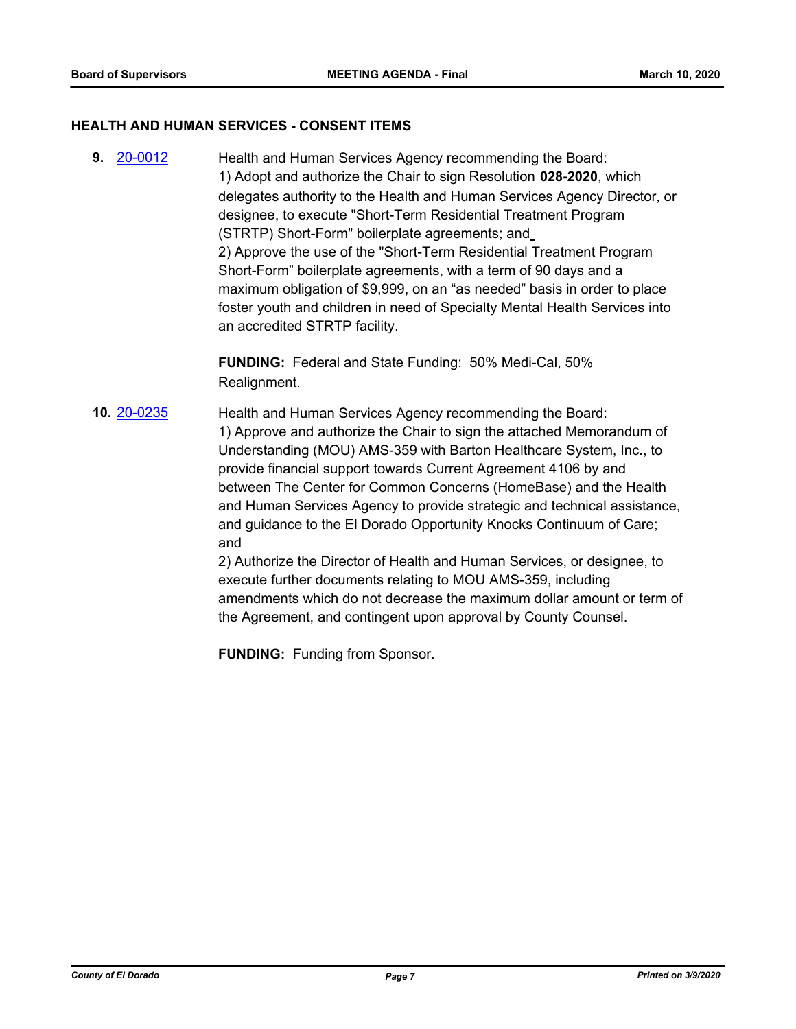#### **HEALTH AND HUMAN SERVICES - CONSENT ITEMS**

**9.** [20-0012](http://eldorado.legistar.com/gateway.aspx?m=l&id=/matter.aspx?key=27216) Health and Human Services Agency recommending the Board: 1) Adopt and authorize the Chair to sign Resolution **028-2020**, which delegates authority to the Health and Human Services Agency Director, or designee, to execute "Short-Term Residential Treatment Program (STRTP) Short-Form" boilerplate agreements; and 2) Approve the use of the "Short-Term Residential Treatment Program Short-Form" boilerplate agreements, with a term of 90 days and a maximum obligation of \$9,999, on an "as needed" basis in order to place foster youth and children in need of Specialty Mental Health Services into an accredited STRTP facility.

> **FUNDING:** Federal and State Funding: 50% Medi-Cal, 50% Realignment.

**10.** [20-0235](http://eldorado.legistar.com/gateway.aspx?m=l&id=/matter.aspx?key=27440) Health and Human Services Agency recommending the Board: 1) Approve and authorize the Chair to sign the attached Memorandum of Understanding (MOU) AMS-359 with Barton Healthcare System, Inc., to provide financial support towards Current Agreement 4106 by and between The Center for Common Concerns (HomeBase) and the Health and Human Services Agency to provide strategic and technical assistance, and guidance to the El Dorado Opportunity Knocks Continuum of Care; and 2) Authorize the Director of Health and Human Services, or designee, to

execute further documents relating to MOU AMS-359, including amendments which do not decrease the maximum dollar amount or term of the Agreement, and contingent upon approval by County Counsel.

**FUNDING:** Funding from Sponsor.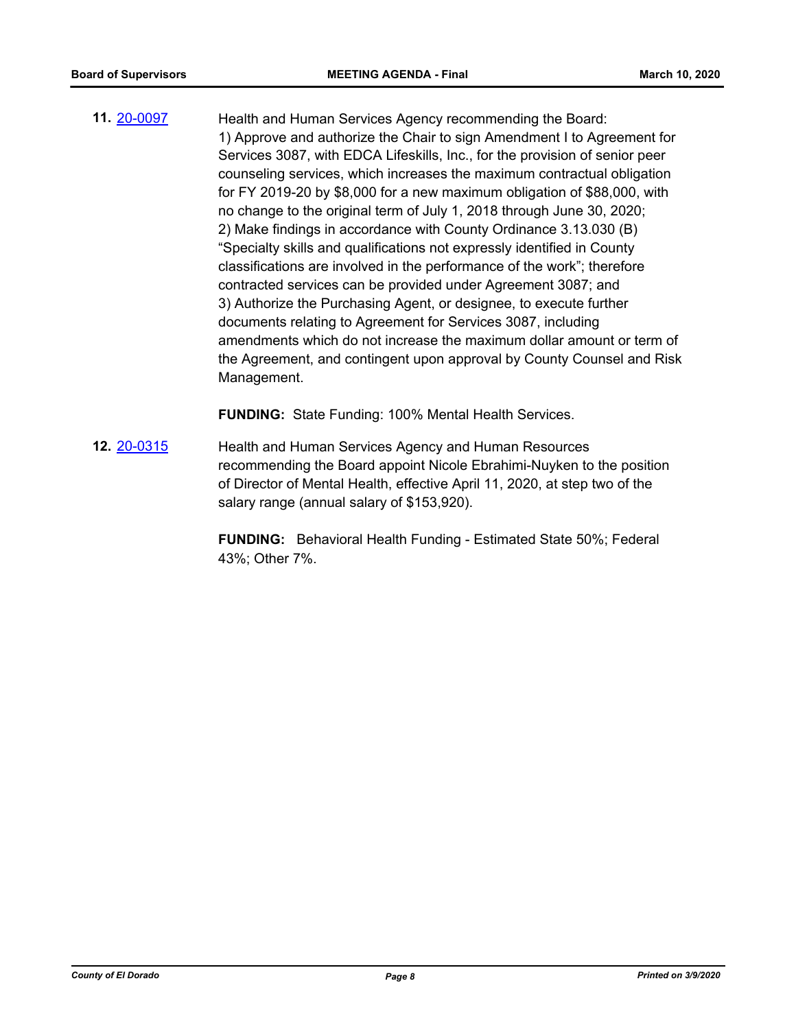**11.** [20-0097](http://eldorado.legistar.com/gateway.aspx?m=l&id=/matter.aspx?key=27302) Health and Human Services Agency recommending the Board: 1) Approve and authorize the Chair to sign Amendment I to Agreement for Services 3087, with EDCA Lifeskills, Inc., for the provision of senior peer counseling services, which increases the maximum contractual obligation for FY 2019-20 by \$8,000 for a new maximum obligation of \$88,000, with no change to the original term of July 1, 2018 through June 30, 2020; 2) Make findings in accordance with County Ordinance 3.13.030 (B) "Specialty skills and qualifications not expressly identified in County classifications are involved in the performance of the work"; therefore contracted services can be provided under Agreement 3087; and 3) Authorize the Purchasing Agent, or designee, to execute further documents relating to Agreement for Services 3087, including amendments which do not increase the maximum dollar amount or term of the Agreement, and contingent upon approval by County Counsel and Risk Management.

**FUNDING:** State Funding: 100% Mental Health Services.

**12.** [20-0315](http://eldorado.legistar.com/gateway.aspx?m=l&id=/matter.aspx?key=27520) Health and Human Services Agency and Human Resources recommending the Board appoint Nicole Ebrahimi-Nuyken to the position of Director of Mental Health, effective April 11, 2020, at step two of the salary range (annual salary of \$153,920).

> **FUNDING:** Behavioral Health Funding - Estimated State 50%; Federal 43%; Other 7%.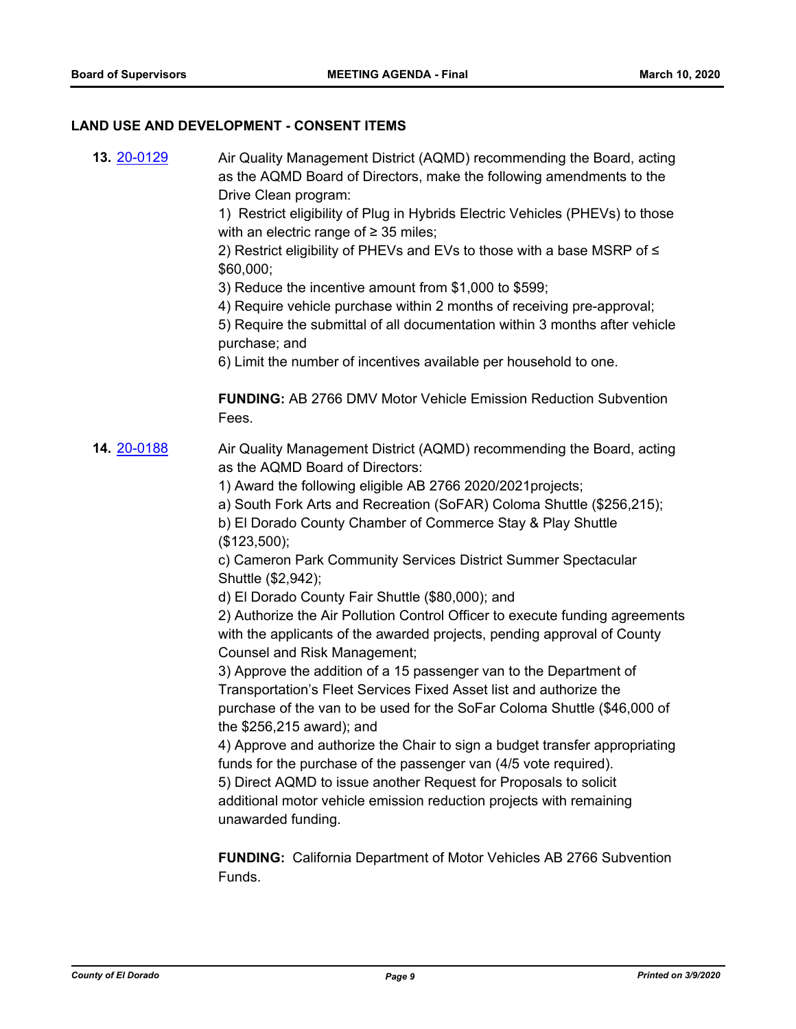#### **LAND USE AND DEVELOPMENT - CONSENT ITEMS**

**13.** [20-0129](http://eldorado.legistar.com/gateway.aspx?m=l&id=/matter.aspx?key=27334) Air Quality Management District (AQMD) recommending the Board, acting as the AQMD Board of Directors, make the following amendments to the Drive Clean program:

> 1) Restrict eligibility of Plug in Hybrids Electric Vehicles (PHEVs) to those with an electric range of  $\geq$  35 miles;

2) Restrict eligibility of PHEVs and EVs to those with a base MSRP of ≤ \$60,000;

3) Reduce the incentive amount from \$1,000 to \$599;

4) Require vehicle purchase within 2 months of receiving pre-approval;

5) Require the submittal of all documentation within 3 months after vehicle purchase; and

6) Limit the number of incentives available per household to one.

**FUNDING:** AB 2766 DMV Motor Vehicle Emission Reduction Subvention Fees.

**14. [20-0188](http://eldorado.legistar.com/gateway.aspx?m=l&id=/matter.aspx?key=27393)** Air Quality Management District (AQMD) recommending the Board, acting as the AQMD Board of Directors:

1) Award the following eligible AB 2766 2020/2021projects;

a) South Fork Arts and Recreation (SoFAR) Coloma Shuttle (\$256,215);

b) El Dorado County Chamber of Commerce Stay & Play Shuttle (\$123,500);

c) Cameron Park Community Services District Summer Spectacular Shuttle (\$2,942);

d) El Dorado County Fair Shuttle (\$80,000); and

2) Authorize the Air Pollution Control Officer to execute funding agreements with the applicants of the awarded projects, pending approval of County Counsel and Risk Management;

3) Approve the addition of a 15 passenger van to the Department of Transportation's Fleet Services Fixed Asset list and authorize the purchase of the van to be used for the SoFar Coloma Shuttle (\$46,000 of the \$256,215 award); and

4) Approve and authorize the Chair to sign a budget transfer appropriating funds for the purchase of the passenger van (4/5 vote required).

5) Direct AQMD to issue another Request for Proposals to solicit additional motor vehicle emission reduction projects with remaining unawarded funding.

**FUNDING:** California Department of Motor Vehicles AB 2766 Subvention Funds.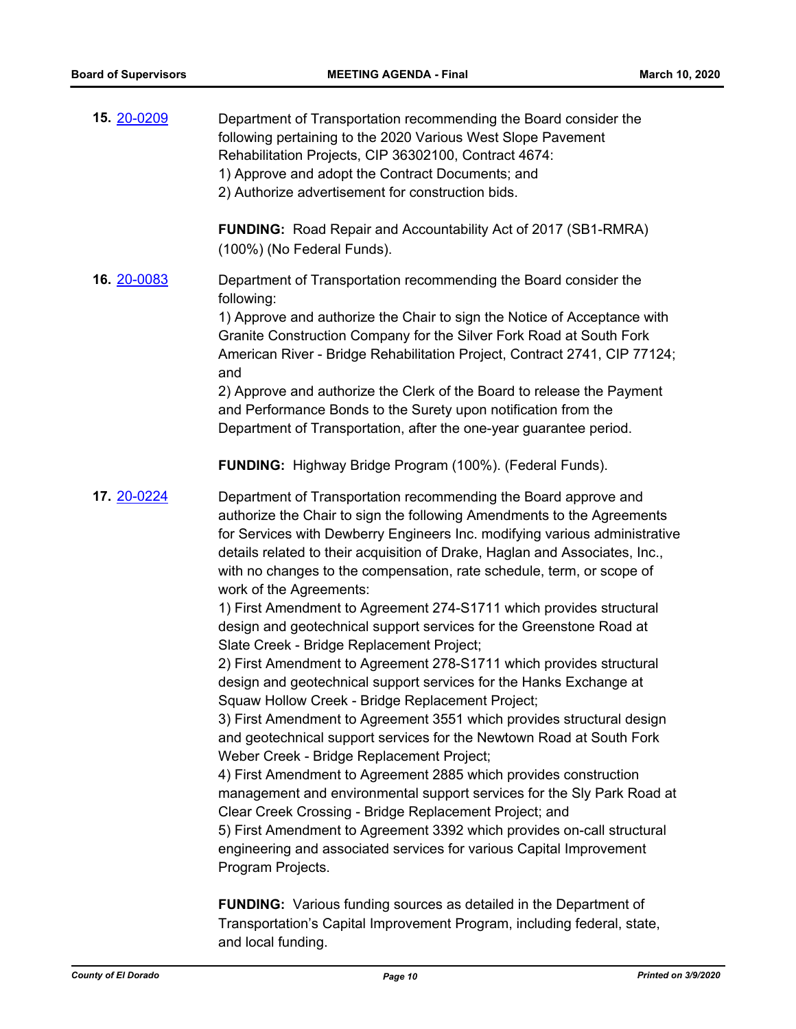| 15. 20-0209 | Department of Transportation recommending the Board consider the<br>following pertaining to the 2020 Various West Slope Pavement<br>Rehabilitation Projects, CIP 36302100, Contract 4674:<br>1) Approve and adopt the Contract Documents; and<br>2) Authorize advertisement for construction bids.                                                                                                                                                                                                                                                                                                                                                                                                                                                                                                                                                                                                                                                                                                                                                                                                                                                                                                                                                                                                                                                                                                                                                             |
|-------------|----------------------------------------------------------------------------------------------------------------------------------------------------------------------------------------------------------------------------------------------------------------------------------------------------------------------------------------------------------------------------------------------------------------------------------------------------------------------------------------------------------------------------------------------------------------------------------------------------------------------------------------------------------------------------------------------------------------------------------------------------------------------------------------------------------------------------------------------------------------------------------------------------------------------------------------------------------------------------------------------------------------------------------------------------------------------------------------------------------------------------------------------------------------------------------------------------------------------------------------------------------------------------------------------------------------------------------------------------------------------------------------------------------------------------------------------------------------|
|             | <b>FUNDING:</b> Road Repair and Accountability Act of 2017 (SB1-RMRA)<br>(100%) (No Federal Funds).                                                                                                                                                                                                                                                                                                                                                                                                                                                                                                                                                                                                                                                                                                                                                                                                                                                                                                                                                                                                                                                                                                                                                                                                                                                                                                                                                            |
| 16. 20-0083 | Department of Transportation recommending the Board consider the<br>following:<br>1) Approve and authorize the Chair to sign the Notice of Acceptance with<br>Granite Construction Company for the Silver Fork Road at South Fork<br>American River - Bridge Rehabilitation Project, Contract 2741, CIP 77124;<br>and<br>2) Approve and authorize the Clerk of the Board to release the Payment<br>and Performance Bonds to the Surety upon notification from the<br>Department of Transportation, after the one-year guarantee period.                                                                                                                                                                                                                                                                                                                                                                                                                                                                                                                                                                                                                                                                                                                                                                                                                                                                                                                        |
|             | <b>FUNDING:</b> Highway Bridge Program (100%). (Federal Funds).                                                                                                                                                                                                                                                                                                                                                                                                                                                                                                                                                                                                                                                                                                                                                                                                                                                                                                                                                                                                                                                                                                                                                                                                                                                                                                                                                                                                |
| 17. 20-0224 | Department of Transportation recommending the Board approve and<br>authorize the Chair to sign the following Amendments to the Agreements<br>for Services with Dewberry Engineers Inc. modifying various administrative<br>details related to their acquisition of Drake, Haglan and Associates, Inc.,<br>with no changes to the compensation, rate schedule, term, or scope of<br>work of the Agreements:<br>1) First Amendment to Agreement 274-S1711 which provides structural<br>design and geotechnical support services for the Greenstone Road at<br>Slate Creek - Bridge Replacement Project;<br>2) First Amendment to Agreement 278-S1711 which provides structural<br>design and geotechnical support services for the Hanks Exchange at<br>Squaw Hollow Creek - Bridge Replacement Project;<br>3) First Amendment to Agreement 3551 which provides structural design<br>and geotechnical support services for the Newtown Road at South Fork<br>Weber Creek - Bridge Replacement Project;<br>4) First Amendment to Agreement 2885 which provides construction<br>management and environmental support services for the Sly Park Road at<br>Clear Creek Crossing - Bridge Replacement Project; and<br>5) First Amendment to Agreement 3392 which provides on-call structural<br>engineering and associated services for various Capital Improvement<br>Program Projects.<br><b>FUNDING:</b> Various funding sources as detailed in the Department of |

Transportation's Capital Improvement Program, including federal, state, and local funding.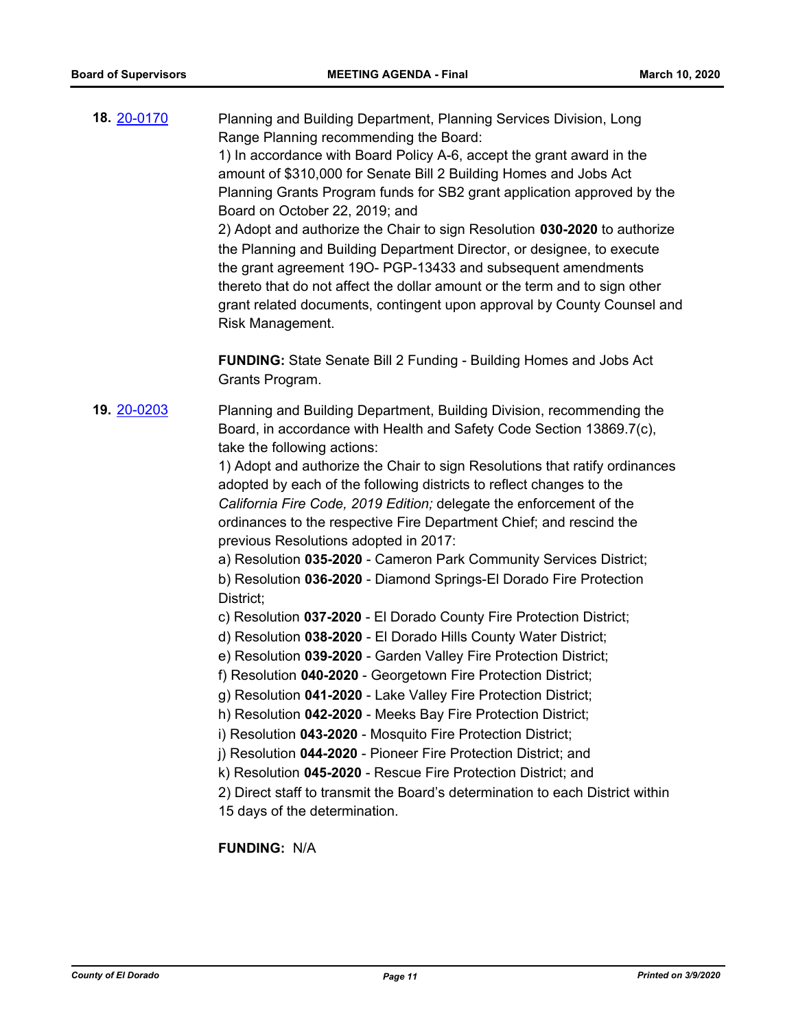**18.** [20-0170](http://eldorado.legistar.com/gateway.aspx?m=l&id=/matter.aspx?key=27375) Planning and Building Department, Planning Services Division, Long Range Planning recommending the Board: 1) In accordance with Board Policy A-6, accept the grant award in the amount of \$310,000 for Senate Bill 2 Building Homes and Jobs Act Planning Grants Program funds for SB2 grant application approved by the Board on October 22, 2019; and 2) Adopt and authorize the Chair to sign Resolution **030-2020** to authorize the Planning and Building Department Director, or designee, to execute the grant agreement 19O- PGP-13433 and subsequent amendments thereto that do not affect the dollar amount or the term and to sign other grant related documents, contingent upon approval by County Counsel and Risk Management.

**FUNDING:** State Senate Bill 2 Funding - Building Homes and Jobs Act Grants Program.

**19.** [20-0203](http://eldorado.legistar.com/gateway.aspx?m=l&id=/matter.aspx?key=27408) Planning and Building Department, Building Division, recommending the Board, in accordance with Health and Safety Code Section 13869.7(c), take the following actions:

> 1) Adopt and authorize the Chair to sign Resolutions that ratify ordinances adopted by each of the following districts to reflect changes to the *California Fire Code, 2019 Edition;* delegate the enforcement of the ordinances to the respective Fire Department Chief; and rescind the previous Resolutions adopted in 2017:

a) Resolution **035-2020** - Cameron Park Community Services District; b) Resolution **036-2020** - Diamond Springs-El Dorado Fire Protection District;

- c) Resolution **037-2020**  El Dorado County Fire Protection District;
- d) Resolution **038-2020**  El Dorado Hills County Water District;
- e) Resolution **039-2020**  Garden Valley Fire Protection District;
- f) Resolution **040-2020**  Georgetown Fire Protection District;
- g) Resolution **041-2020**  Lake Valley Fire Protection District;
- h) Resolution **042-2020**  Meeks Bay Fire Protection District;
- i) Resolution **043-2020**  Mosquito Fire Protection District;
- j) Resolution **044-2020**  Pioneer Fire Protection District; and
- k) Resolution **045-2020**  Rescue Fire Protection District; and

2) Direct staff to transmit the Board's determination to each District within 15 days of the determination.

**FUNDING:** N/A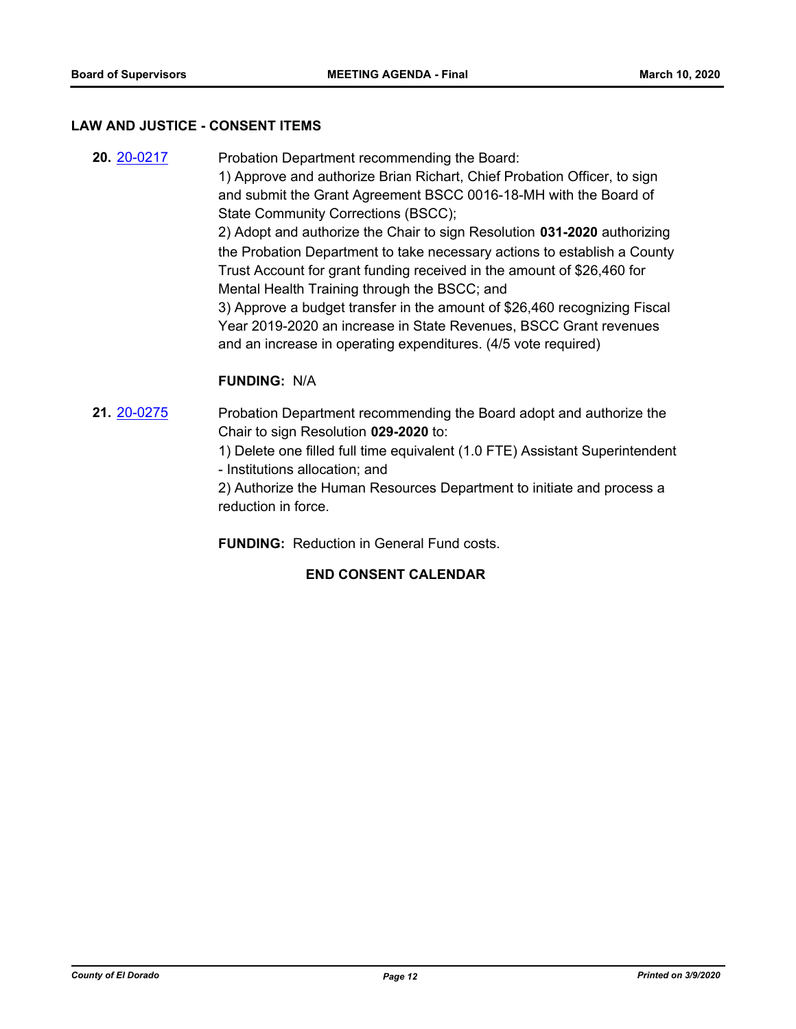#### **LAW AND JUSTICE - CONSENT ITEMS**

**20.** [20-0217](http://eldorado.legistar.com/gateway.aspx?m=l&id=/matter.aspx?key=27422) Probation Department recommending the Board: 1) Approve and authorize Brian Richart, Chief Probation Officer, to sign and submit the Grant Agreement BSCC 0016-18-MH with the Board of State Community Corrections (BSCC); 2) Adopt and authorize the Chair to sign Resolution **031-2020** authorizing the Probation Department to take necessary actions to establish a County Trust Account for grant funding received in the amount of \$26,460 for Mental Health Training through the BSCC; and 3) Approve a budget transfer in the amount of \$26,460 recognizing Fiscal Year 2019-2020 an increase in State Revenues, BSCC Grant revenues and an increase in operating expenditures. (4/5 vote required)

#### **FUNDING:** N/A

- **21.** [20-0275](http://eldorado.legistar.com/gateway.aspx?m=l&id=/matter.aspx?key=27480) Probation Department recommending the Board adopt and authorize the Chair to sign Resolution **029-2020** to:
	- 1) Delete one filled full time equivalent (1.0 FTE) Assistant Superintendent - Institutions allocation; and

2) Authorize the Human Resources Department to initiate and process a reduction in force.

**FUNDING:** Reduction in General Fund costs.

#### **END CONSENT CALENDAR**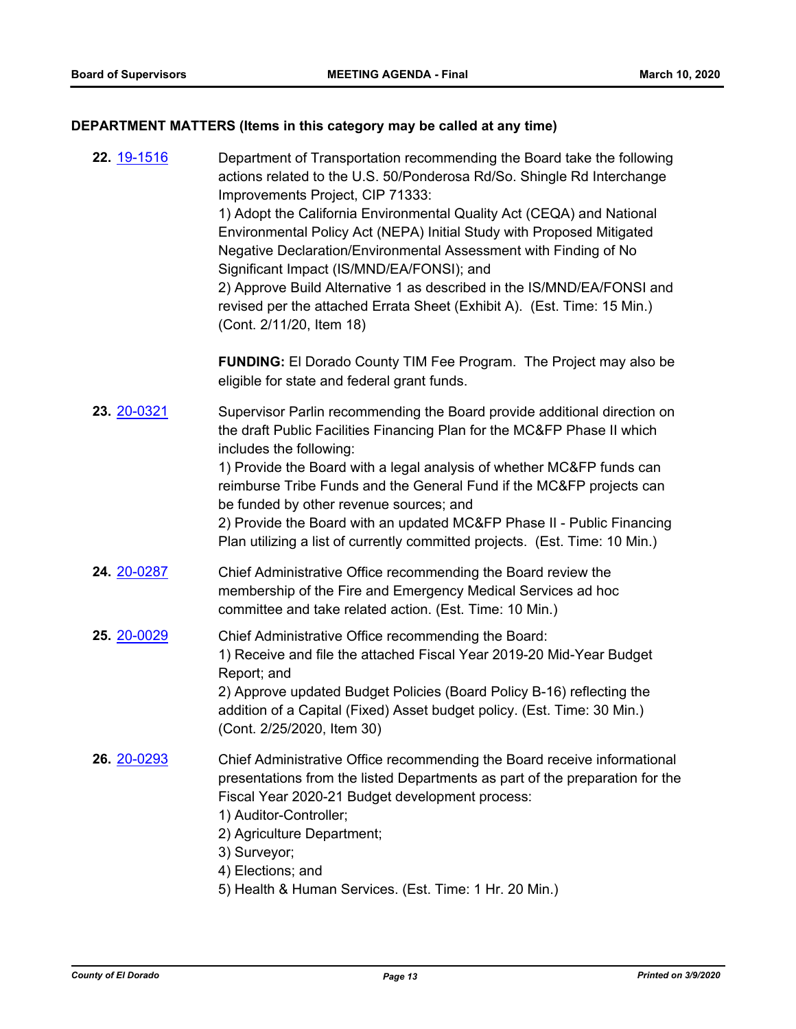## **DEPARTMENT MATTERS (Items in this category may be called at any time)**

| 22. 19-1516 | Department of Transportation recommending the Board take the following<br>actions related to the U.S. 50/Ponderosa Rd/So. Shingle Rd Interchange<br>Improvements Project, CIP 71333:<br>1) Adopt the California Environmental Quality Act (CEQA) and National<br>Environmental Policy Act (NEPA) Initial Study with Proposed Mitigated<br>Negative Declaration/Environmental Assessment with Finding of No<br>Significant Impact (IS/MND/EA/FONSI); and<br>2) Approve Build Alternative 1 as described in the IS/MND/EA/FONSI and<br>revised per the attached Errata Sheet (Exhibit A). (Est. Time: 15 Min.)<br>(Cont. 2/11/20, Item 18) |
|-------------|------------------------------------------------------------------------------------------------------------------------------------------------------------------------------------------------------------------------------------------------------------------------------------------------------------------------------------------------------------------------------------------------------------------------------------------------------------------------------------------------------------------------------------------------------------------------------------------------------------------------------------------|
|             | <b>FUNDING:</b> El Dorado County TIM Fee Program. The Project may also be<br>eligible for state and federal grant funds.                                                                                                                                                                                                                                                                                                                                                                                                                                                                                                                 |
| 23. 20-0321 | Supervisor Parlin recommending the Board provide additional direction on<br>the draft Public Facilities Financing Plan for the MC&FP Phase II which<br>includes the following:<br>1) Provide the Board with a legal analysis of whether MC&FP funds can<br>reimburse Tribe Funds and the General Fund if the MC&FP projects can<br>be funded by other revenue sources; and<br>2) Provide the Board with an updated MC&FP Phase II - Public Financing<br>Plan utilizing a list of currently committed projects. (Est. Time: 10 Min.)                                                                                                      |
| 24. 20-0287 | Chief Administrative Office recommending the Board review the<br>membership of the Fire and Emergency Medical Services ad hoc<br>committee and take related action. (Est. Time: 10 Min.)                                                                                                                                                                                                                                                                                                                                                                                                                                                 |
| 25. 20-0029 | Chief Administrative Office recommending the Board:<br>1) Receive and file the attached Fiscal Year 2019-20 Mid-Year Budget<br>Report; and<br>2) Approve updated Budget Policies (Board Policy B-16) reflecting the<br>addition of a Capital (Fixed) Asset budget policy. (Est. Time: 30 Min.)<br>(Cont. 2/25/2020, Item 30)                                                                                                                                                                                                                                                                                                             |
| 26. 20-0293 | Chief Administrative Office recommending the Board receive informational<br>presentations from the listed Departments as part of the preparation for the<br>Fiscal Year 2020-21 Budget development process:<br>1) Auditor-Controller;<br>2) Agriculture Department;<br>3) Surveyor;<br>4) Elections; and                                                                                                                                                                                                                                                                                                                                 |

5) Health & Human Services. (Est. Time: 1 Hr. 20 Min.)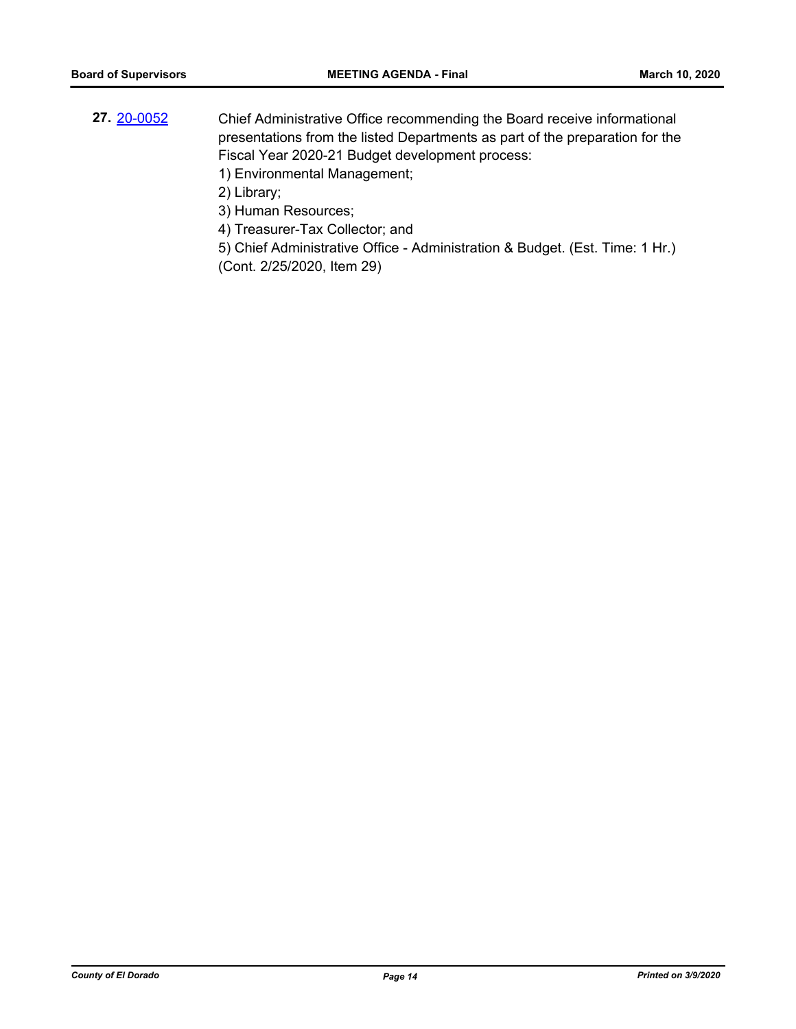- **27.** [20-0052](http://eldorado.legistar.com/gateway.aspx?m=l&id=/matter.aspx?key=27257) Chief Administrative Office recommending the Board receive informational presentations from the listed Departments as part of the preparation for the Fiscal Year 2020-21 Budget development process:
	- 1) Environmental Management;
	- 2) Library;

3) Human Resources;

- 4) Treasurer-Tax Collector; and
- 5) Chief Administrative Office Administration & Budget. (Est. Time: 1 Hr.) (Cont. 2/25/2020, Item 29)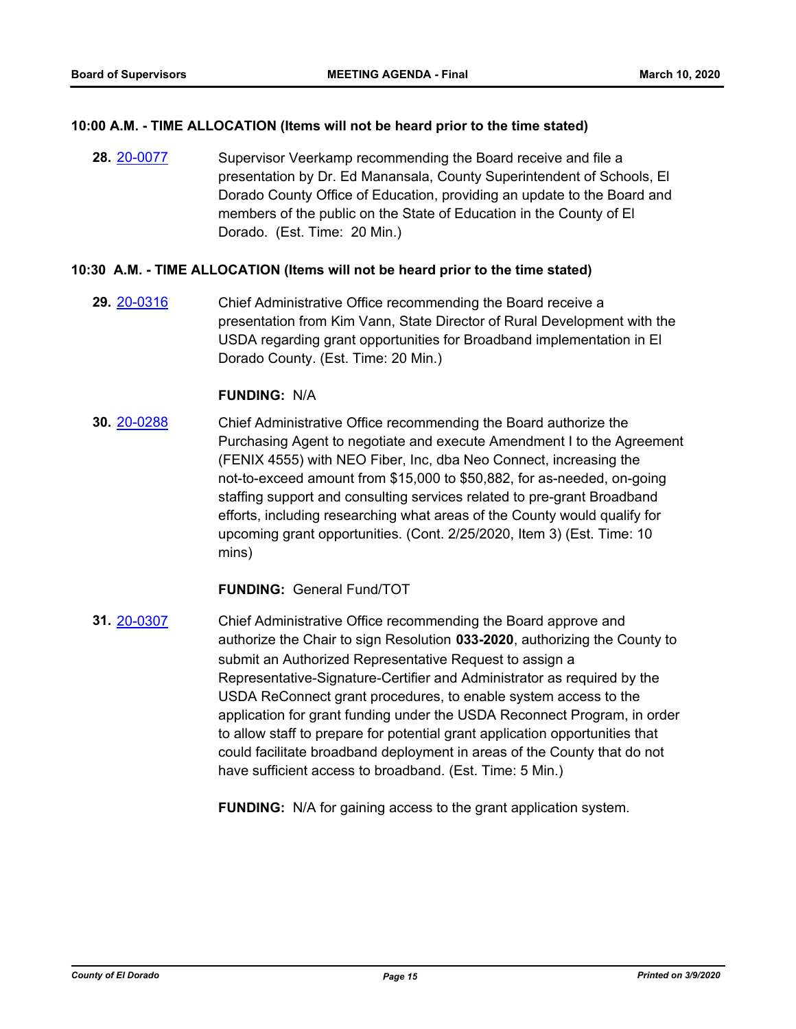#### **10:00 A.M. - TIME ALLOCATION (Items will not be heard prior to the time stated)**

**28.** [20-0077](http://eldorado.legistar.com/gateway.aspx?m=l&id=/matter.aspx?key=27282) Supervisor Veerkamp recommending the Board receive and file a presentation by Dr. Ed Manansala, County Superintendent of Schools, El Dorado County Office of Education, providing an update to the Board and members of the public on the State of Education in the County of El Dorado. (Est. Time: 20 Min.)

#### **10:30 A.M. - TIME ALLOCATION (Items will not be heard prior to the time stated)**

**29.** [20-0316](http://eldorado.legistar.com/gateway.aspx?m=l&id=/matter.aspx?key=27521) Chief Administrative Office recommending the Board receive a presentation from Kim Vann, State Director of Rural Development with the USDA regarding grant opportunities for Broadband implementation in El Dorado County. (Est. Time: 20 Min.)

#### **FUNDING:** N/A

**30.** [20-0288](http://eldorado.legistar.com/gateway.aspx?m=l&id=/matter.aspx?key=27493) Chief Administrative Office recommending the Board authorize the Purchasing Agent to negotiate and execute Amendment I to the Agreement (FENIX 4555) with NEO Fiber, Inc, dba Neo Connect, increasing the not-to-exceed amount from \$15,000 to \$50,882, for as-needed, on-going staffing support and consulting services related to pre-grant Broadband efforts, including researching what areas of the County would qualify for upcoming grant opportunities. (Cont. 2/25/2020, Item 3) (Est. Time: 10 mins)

#### **FUNDING:** General Fund/TOT

**31.** [20-0307](http://eldorado.legistar.com/gateway.aspx?m=l&id=/matter.aspx?key=27512) Chief Administrative Office recommending the Board approve and authorize the Chair to sign Resolution **033-2020**, authorizing the County to submit an Authorized Representative Request to assign a Representative-Signature-Certifier and Administrator as required by the USDA ReConnect grant procedures, to enable system access to the application for grant funding under the USDA Reconnect Program, in order to allow staff to prepare for potential grant application opportunities that could facilitate broadband deployment in areas of the County that do not have sufficient access to broadband. (Est. Time: 5 Min.)

**FUNDING:** N/A for gaining access to the grant application system.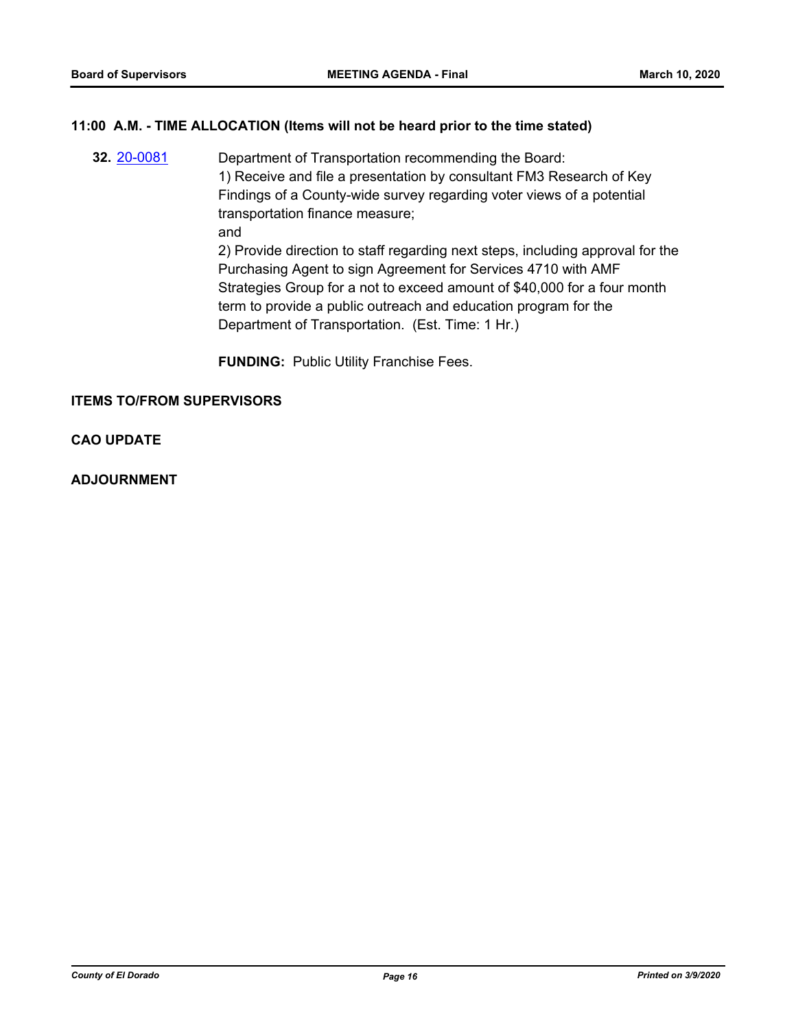#### **11:00 A.M. - TIME ALLOCATION (Items will not be heard prior to the time stated)**

**32.** [20-0081](http://eldorado.legistar.com/gateway.aspx?m=l&id=/matter.aspx?key=27286) Department of Transportation recommending the Board: 1) Receive and file a presentation by consultant FM3 Research of Key Findings of a County-wide survey regarding voter views of a potential transportation finance measure; and 2) Provide direction to staff regarding next steps, including approval for the Purchasing Agent to sign Agreement for Services 4710 with AMF Strategies Group for a not to exceed amount of \$40,000 for a four month term to provide a public outreach and education program for the Department of Transportation. (Est. Time: 1 Hr.)

**FUNDING:** Public Utility Franchise Fees.

#### **ITEMS TO/FROM SUPERVISORS**

#### **CAO UPDATE**

#### **ADJOURNMENT**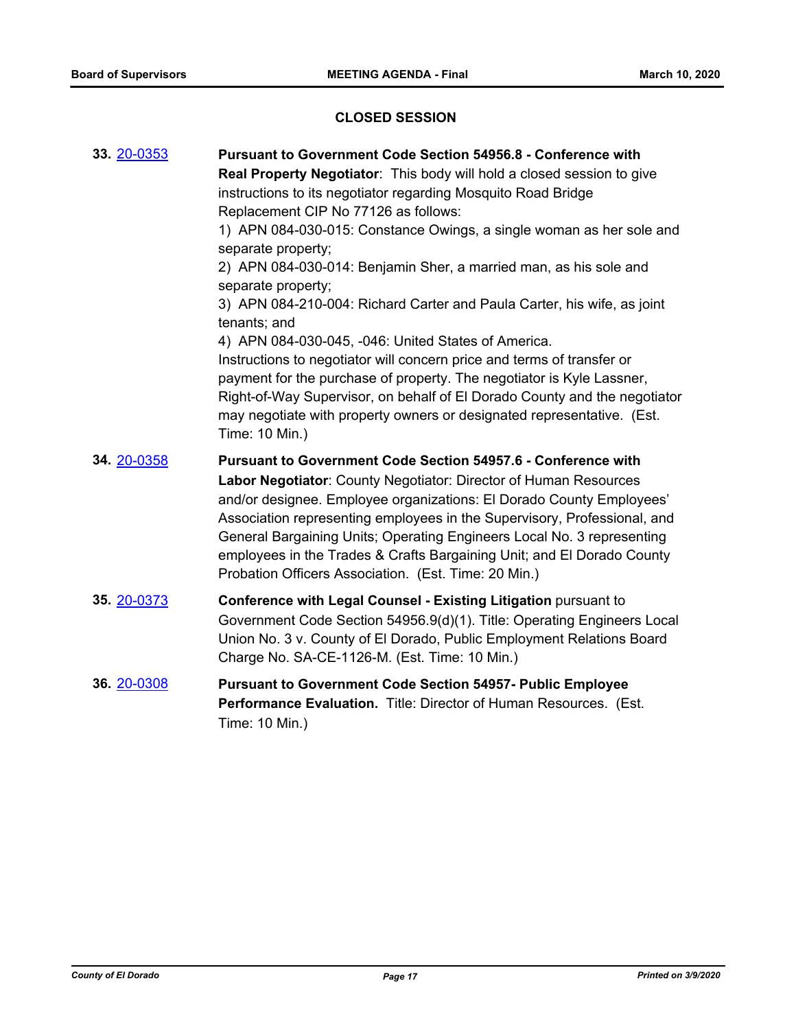## **CLOSED SESSION**

| 33. 20-0353 | <b>Pursuant to Government Code Section 54956.8 - Conference with</b>                       |
|-------------|--------------------------------------------------------------------------------------------|
|             | Real Property Negotiator: This body will hold a closed session to give                     |
|             | instructions to its negotiator regarding Mosquito Road Bridge                              |
|             | Replacement CIP No 77126 as follows:                                                       |
|             | 1) APN 084-030-015: Constance Owings, a single woman as her sole and<br>separate property; |
|             | 2) APN 084-030-014: Benjamin Sher, a married man, as his sole and<br>separate property;    |
|             | 3) APN 084-210-004: Richard Carter and Paula Carter, his wife, as joint<br>tenants; and    |
|             | 4) APN 084-030-045, -046: United States of America.                                        |
|             | Instructions to negotiator will concern price and terms of transfer or                     |
|             | payment for the purchase of property. The negotiator is Kyle Lassner,                      |
|             | Right-of-Way Supervisor, on behalf of El Dorado County and the negotiator                  |
|             | may negotiate with property owners or designated representative. (Est.<br>Time: 10 Min.)   |
| 34. 20-0358 | <b>Pursuant to Government Code Section 54957.6 - Conference with</b>                       |
|             | Labor Negotiator: County Negotiator: Director of Human Resources                           |
|             | and/or designee. Employee organizations: El Dorado County Employees'                       |
|             | Association representing employees in the Supervisory, Professional, and                   |
|             | General Bargaining Units; Operating Engineers Local No. 3 representing                     |
|             | employees in the Trades & Crafts Bargaining Unit; and El Dorado County                     |
|             | Probation Officers Association. (Est. Time: 20 Min.)                                       |
| 35. 20-0373 | Conference with Legal Counsel - Existing Litigation pursuant to                            |
|             | Government Code Section 54956.9(d)(1). Title: Operating Engineers Local                    |
|             | Union No. 3 v. County of El Dorado, Public Employment Relations Board                      |
|             | Charge No. SA-CE-1126-M. (Est. Time: 10 Min.)                                              |
| 36. 20-0308 | <b>Pursuant to Government Code Section 54957- Public Employee</b>                          |
|             | Performance Evaluation. Title: Director of Human Resources. (Est.                          |
|             | Time: 10 Min.)                                                                             |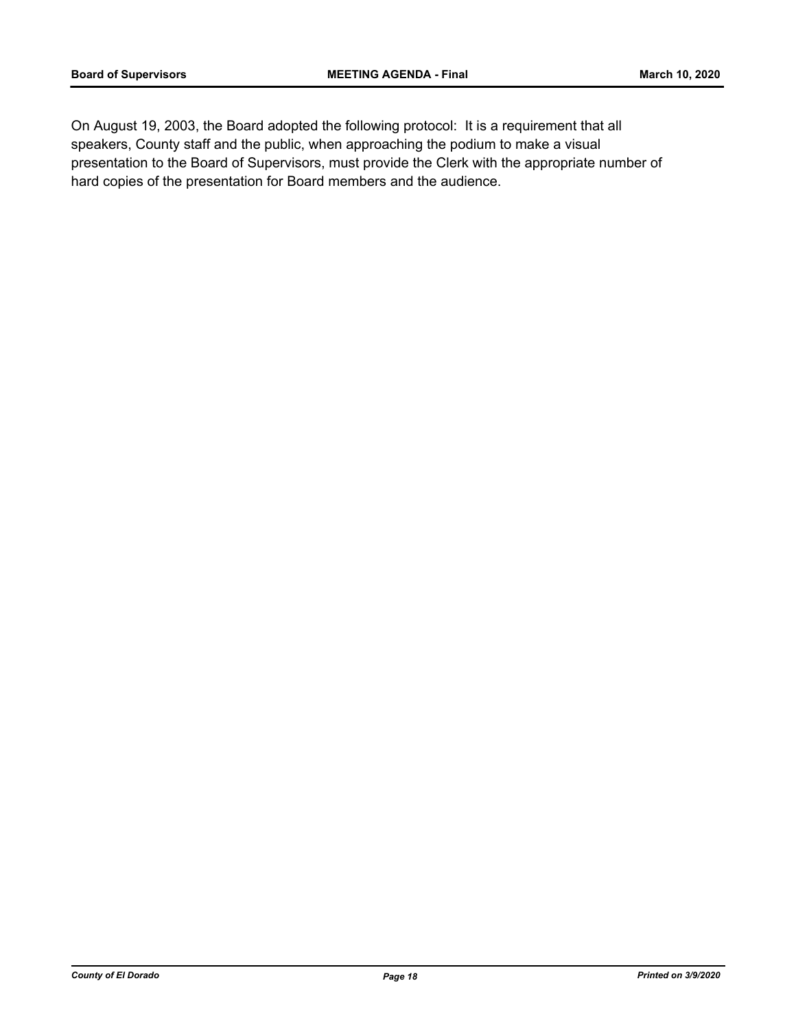On August 19, 2003, the Board adopted the following protocol: It is a requirement that all speakers, County staff and the public, when approaching the podium to make a visual presentation to the Board of Supervisors, must provide the Clerk with the appropriate number of hard copies of the presentation for Board members and the audience.